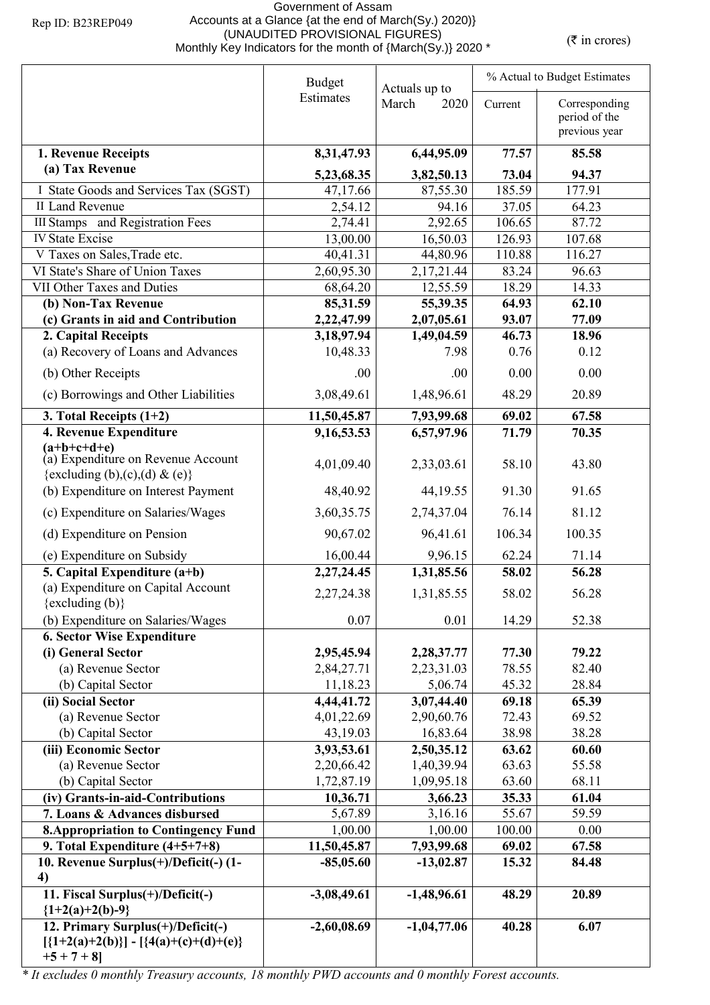## Government of Assam Accounts at a Glance {at the end of March(Sy.) 2020)} (UNAUDITED PROVISIONAL FIGURES) (UNAUDITED PROVISIONAL FIGURES)<br>Monthly Key Indicators for the month of {March(Sy.)} 2020 \*

| <b>Budget</b>                                                                                     |                        | Actuals up to          | % Actual to Budget Estimates |                                                 |  |
|---------------------------------------------------------------------------------------------------|------------------------|------------------------|------------------------------|-------------------------------------------------|--|
|                                                                                                   | Estimates              | March<br>2020          | Current                      | Corresponding<br>period of the<br>previous year |  |
|                                                                                                   |                        |                        |                              |                                                 |  |
| 1. Revenue Receipts<br>(a) Tax Revenue                                                            | 8,31,47.93             | 6,44,95.09             | 77.57                        | 85.58                                           |  |
|                                                                                                   | 5,23,68.35             | 3,82,50.13             | 73.04                        | 94.37                                           |  |
| I State Goods and Services Tax (SGST)                                                             | 47,17.66               | 87,55.30               | 185.59                       | 177.91                                          |  |
| II Land Revenue                                                                                   | 2,54.12                | 94.16                  | 37.05                        | 64.23                                           |  |
| III Stamps and Registration Fees                                                                  | 2,74.41                | 2,92.65                | 106.65                       | 87.72                                           |  |
| <b>IV State Excise</b>                                                                            | 13,00.00               | 16,50.03               | 126.93                       | 107.68                                          |  |
| V Taxes on Sales, Trade etc.                                                                      | 40,41.31               | 44,80.96               | 110.88                       | 116.27                                          |  |
| VI State's Share of Union Taxes<br>VII Other Taxes and Duties                                     | 2,60,95.30             | 2,17,21.44             | 83.24<br>18.29               | 96.63<br>14.33                                  |  |
|                                                                                                   | 68,64.20               | 12,55.59               | 64.93                        | 62.10                                           |  |
| (b) Non-Tax Revenue<br>(c) Grants in aid and Contribution                                         | 85,31.59<br>2,22,47.99 | 55,39.35<br>2,07,05.61 | 93.07                        | 77.09                                           |  |
| 2. Capital Receipts                                                                               | 3,18,97.94             | 1,49,04.59             | 46.73                        | 18.96                                           |  |
| (a) Recovery of Loans and Advances                                                                | 10,48.33               | 7.98                   | 0.76                         | 0.12                                            |  |
|                                                                                                   |                        |                        |                              |                                                 |  |
| (b) Other Receipts                                                                                | .00                    | .00                    | 0.00                         | 0.00                                            |  |
| (c) Borrowings and Other Liabilities                                                              | 3,08,49.61             | 1,48,96.61             | 48.29                        | 20.89                                           |  |
| 3. Total Receipts $(1+2)$                                                                         | 11,50,45.87            | 7,93,99.68             | 69.02                        | 67.58                                           |  |
| 4. Revenue Expenditure                                                                            | 9,16,53.53             | 6,57,97.96             | 71.79                        | 70.35                                           |  |
| $(a+b+c+d+e)$<br>(a) Expenditure on Revenue Account<br>{excluding (b),(c),(d) & (e)}              | 4,01,09.40             | 2,33,03.61             | 58.10                        | 43.80                                           |  |
| (b) Expenditure on Interest Payment                                                               | 48,40.92               | 44, 19.55              | 91.30                        | 91.65                                           |  |
| (c) Expenditure on Salaries/Wages                                                                 | 3,60,35.75             | 2,74,37.04             | 76.14                        | 81.12                                           |  |
| (d) Expenditure on Pension                                                                        | 90,67.02               | 96,41.61               | 106.34                       | 100.35                                          |  |
| (e) Expenditure on Subsidy                                                                        | 16,00.44               | 9,96.15                | 62.24                        | 71.14                                           |  |
| 5. Capital Expenditure $(a+b)$                                                                    | 2,27,24.45             | 1,31,85.56             | 58.02                        | 56.28                                           |  |
| (a) Expenditure on Capital Account                                                                |                        |                        |                              |                                                 |  |
| $\{excluding (b)\}$                                                                               | 2,27,24.38             | 1,31,85.55             | 58.02                        | 56.28                                           |  |
| (b) Expenditure on Salaries/Wages                                                                 | 0.07                   | 0.01                   | 14.29                        | 52.38                                           |  |
| <b>6. Sector Wise Expenditure</b>                                                                 |                        |                        |                              |                                                 |  |
| (i) General Sector                                                                                | 2,95,45.94             | 2,28,37.77             | 77.30                        | 79.22                                           |  |
| (a) Revenue Sector                                                                                | 2,84,27.71             | 2,23,31.03             | 78.55                        | 82.40                                           |  |
| (b) Capital Sector                                                                                | 11,18.23               | 5,06.74                | 45.32                        | 28.84                                           |  |
| (ii) Social Sector                                                                                | 4,44,41.72             | 3,07,44.40             | 69.18                        | 65.39                                           |  |
| (a) Revenue Sector                                                                                | 4,01,22.69             | 2,90,60.76             | 72.43                        | 69.52                                           |  |
| (b) Capital Sector                                                                                | 43,19.03               | 16,83.64               | 38.98                        | 38.28                                           |  |
| (iii) Economic Sector                                                                             | 3,93,53.61             | 2,50,35.12             | 63.62                        | 60.60                                           |  |
| (a) Revenue Sector                                                                                | 2,20,66.42             | 1,40,39.94             | 63.63                        | 55.58                                           |  |
| (b) Capital Sector                                                                                | 1,72,87.19             | 1,09,95.18             | 63.60                        | 68.11                                           |  |
| (iv) Grants-in-aid-Contributions                                                                  | 10,36.71               | 3,66.23                | 35.33                        | 61.04                                           |  |
| 7. Loans & Advances disbursed                                                                     | 5,67.89                | 3,16.16                | 55.67                        | 59.59                                           |  |
| <b>8. Appropriation to Contingency Fund</b>                                                       | 1,00.00                | 1,00.00                | 100.00                       | 0.00                                            |  |
| 9. Total Expenditure $(4+5+7+8)$                                                                  | 11,50,45.87            | 7,93,99.68             | 69.02                        | 67.58                                           |  |
| 10. Revenue Surplus(+)/Deficit(-) (1-                                                             | $-85,05.60$            | $-13,02.87$            | 15.32                        | 84.48                                           |  |
| 4)<br>11. Fiscal Surplus(+)/Deficit(-)<br>${1+2(a)+2(b)-9}$                                       | $-3,08,49.61$          | $-1,48,96.61$          | 48.29                        | 20.89                                           |  |
| 12. Primary Surplus(+)/Deficit(-)<br>$[\{1+2(a)+2(b)\}] - [\{4(a)+(c)+(d)+(e)\}]$<br>$+5 + 7 + 8$ | $-2,60,08.69$          | $-1,04,77.06$          | 40.28                        | 6.07                                            |  |

*\* It excludes 0 monthly Treasury accounts, 18 monthly PWD accounts and 0 monthly Forest accounts.*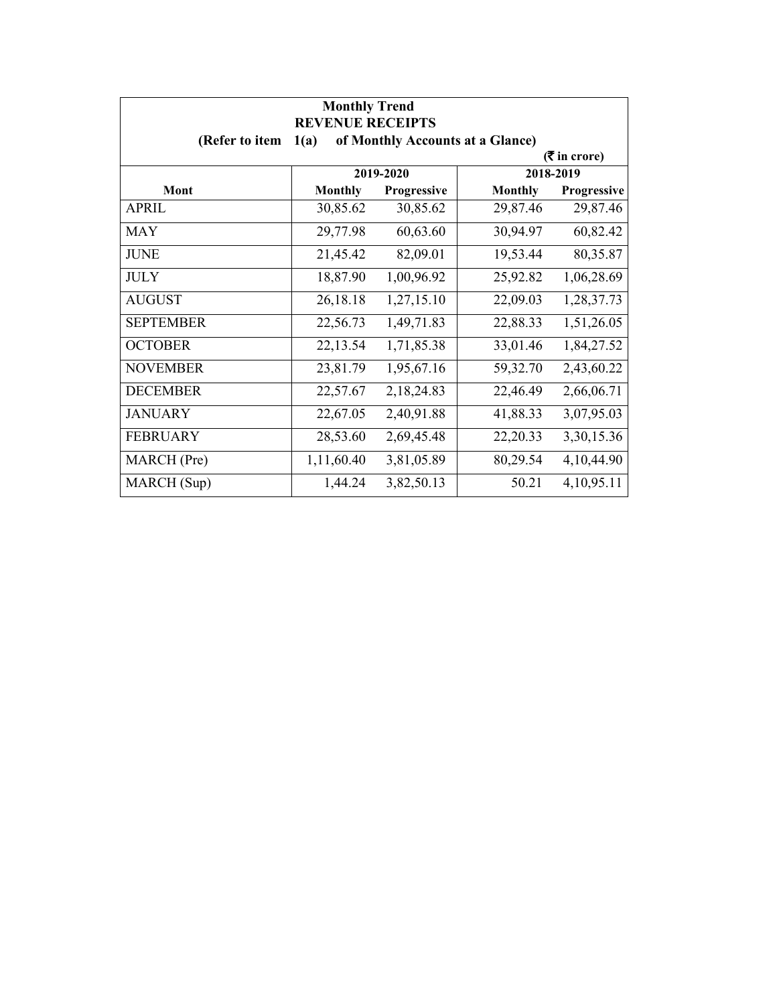| <b>Monthly Trend</b><br><b>REVENUE RECEIPTS</b> |                |             |                                  |                             |  |
|-------------------------------------------------|----------------|-------------|----------------------------------|-----------------------------|--|
| (Refer to item                                  | 1(a)           |             | of Monthly Accounts at a Glance) |                             |  |
|                                                 |                |             |                                  | $(3\overline{5})$ in crore) |  |
|                                                 |                | 2019-2020   |                                  | 2018-2019                   |  |
| Mont                                            | <b>Monthly</b> | Progressive | <b>Monthly</b>                   | Progressive                 |  |
| <b>APRIL</b>                                    | 30,85.62       | 30,85.62    | 29,87.46                         | 29,87.46                    |  |
| <b>MAY</b>                                      | 29,77.98       | 60,63.60    | 30,94.97                         | 60,82.42                    |  |
| <b>JUNE</b>                                     | 21,45.42       | 82,09.01    | 19,53.44                         | 80,35.87                    |  |
| <b>JULY</b>                                     | 18,87.90       | 1,00,96.92  | 25,92.82                         | 1,06,28.69                  |  |
| <b>AUGUST</b>                                   | 26,18.18       | 1,27,15.10  | 22,09.03                         | 1,28,37.73                  |  |
| <b>SEPTEMBER</b>                                | 22,56.73       | 1,49,71.83  | 22,88.33                         | 1,51,26.05                  |  |
| <b>OCTOBER</b>                                  | 22,13.54       | 1,71,85.38  | 33,01.46                         | 1,84,27.52                  |  |
| <b>NOVEMBER</b>                                 | 23,81.79       | 1,95,67.16  | 59,32.70                         | 2,43,60.22                  |  |
| <b>DECEMBER</b>                                 | 22,57.67       | 2,18,24.83  | 22,46.49                         | 2,66,06.71                  |  |
| <b>JANUARY</b>                                  | 22,67.05       | 2,40,91.88  | 41,88.33                         | 3,07,95.03                  |  |
| <b>FEBRUARY</b>                                 | 28,53.60       | 2,69,45.48  | 22,20.33                         | 3,30,15.36                  |  |
| MARCH (Pre)                                     | 1,11,60.40     | 3,81,05.89  | 80,29.54                         | 4,10,44.90                  |  |
| MARCH (Sup)                                     | 1,44.24        | 3,82,50.13  | 50.21                            | 4,10,95.11                  |  |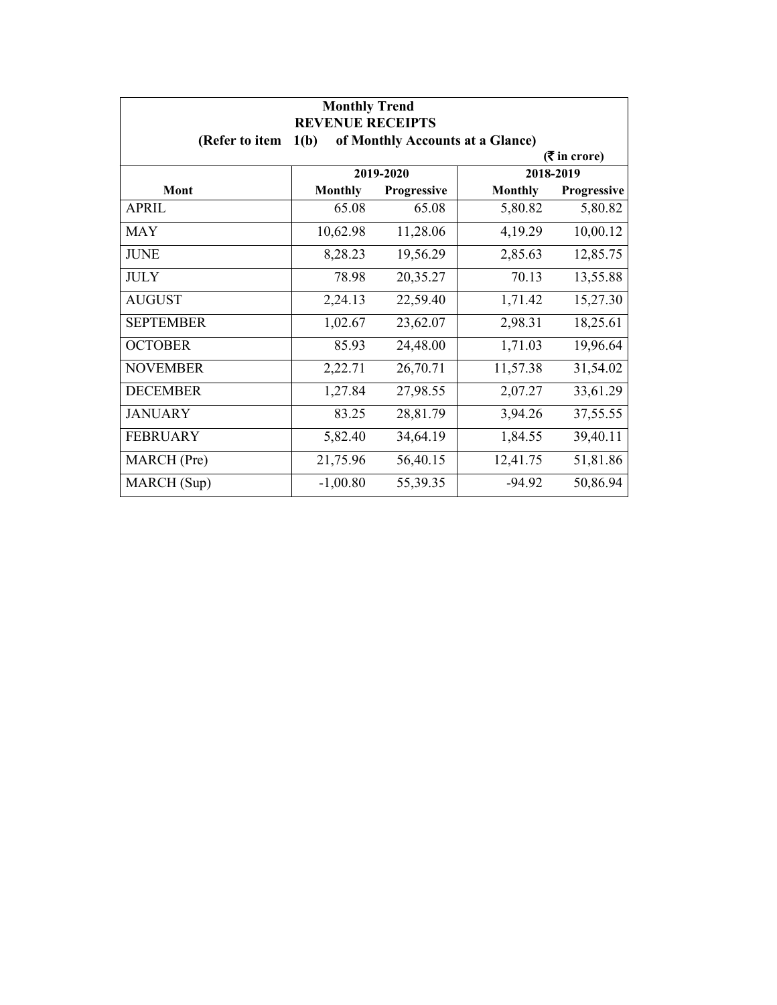| <b>Monthly Trend</b><br><b>REVENUE RECEIPTS</b> |                |             |                                  |                 |
|-------------------------------------------------|----------------|-------------|----------------------------------|-----------------|
| (Refer to item                                  | 1(b)           |             | of Monthly Accounts at a Glance) |                 |
|                                                 |                |             |                                  | $($ ₹ in crore) |
|                                                 |                | 2019-2020   |                                  | 2018-2019       |
| Mont                                            | <b>Monthly</b> | Progressive | <b>Monthly</b>                   | Progressive     |
| APRIL                                           | 65.08          | 65.08       | 5,80.82                          | 5,80.82         |
| <b>MAY</b>                                      | 10,62.98       | 11,28.06    | 4,19.29                          | 10,00.12        |
| <b>JUNE</b>                                     | 8,28.23        | 19,56.29    | 2,85.63                          | 12,85.75        |
| <b>JULY</b>                                     | 78.98          | 20,35.27    | 70.13                            | 13,55.88        |
| <b>AUGUST</b>                                   | 2,24.13        | 22,59.40    | 1,71.42                          | 15,27.30        |
| <b>SEPTEMBER</b>                                | 1,02.67        | 23,62.07    | 2,98.31                          | 18,25.61        |
| <b>OCTOBER</b>                                  | 85.93          | 24,48.00    | 1,71.03                          | 19,96.64        |
| <b>NOVEMBER</b>                                 | 2,22.71        | 26,70.71    | 11,57.38                         | 31,54.02        |
| <b>DECEMBER</b>                                 | 1,27.84        | 27,98.55    | 2,07.27                          | 33,61.29        |
| <b>JANUARY</b>                                  | 83.25          | 28,81.79    | 3,94.26                          | 37,55.55        |
| <b>FEBRUARY</b>                                 | 5,82.40        | 34,64.19    | 1,84.55                          | 39,40.11        |
| MARCH (Pre)                                     | 21,75.96       | 56,40.15    | 12,41.75                         | 51,81.86        |
| MARCH (Sup)                                     | $-1,00.80$     | 55,39.35    | $-94.92$                         | 50,86.94        |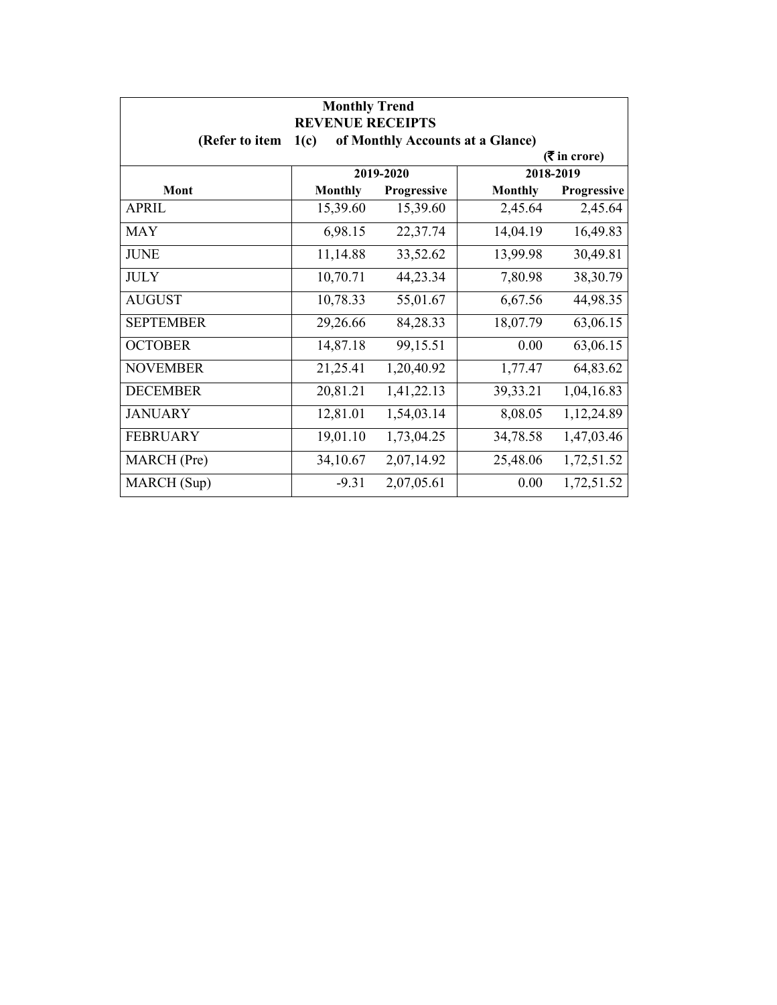| <b>Monthly Trend</b><br><b>REVENUE RECEIPTS</b>            |                |             |                |                             |  |
|------------------------------------------------------------|----------------|-------------|----------------|-----------------------------|--|
| (Refer to item<br>of Monthly Accounts at a Glance)<br>1(c) |                |             |                |                             |  |
|                                                            |                |             |                | $(3\overline{5})$ in crore) |  |
|                                                            |                | 2019-2020   |                | 2018-2019                   |  |
| Mont                                                       | <b>Monthly</b> | Progressive | <b>Monthly</b> | Progressive                 |  |
| APRIL                                                      | 15,39.60       | 15,39.60    | 2,45.64        | 2,45.64                     |  |
| <b>MAY</b>                                                 | 6,98.15        | 22,37.74    | 14,04.19       | 16,49.83                    |  |
| <b>JUNE</b>                                                | 11,14.88       | 33,52.62    | 13,99.98       | 30,49.81                    |  |
| <b>JULY</b>                                                | 10,70.71       | 44,23.34    | 7,80.98        | 38,30.79                    |  |
| <b>AUGUST</b>                                              | 10,78.33       | 55,01.67    | 6,67.56        | 44,98.35                    |  |
| <b>SEPTEMBER</b>                                           | 29,26.66       | 84,28.33    | 18,07.79       | 63,06.15                    |  |
| <b>OCTOBER</b>                                             | 14,87.18       | 99,15.51    | 0.00           | 63,06.15                    |  |
| <b>NOVEMBER</b>                                            | 21,25.41       | 1,20,40.92  | 1,77.47        | 64,83.62                    |  |
| <b>DECEMBER</b>                                            | 20,81.21       | 1,41,22.13  | 39,33.21       | 1,04,16.83                  |  |
| <b>JANUARY</b>                                             | 12,81.01       | 1,54,03.14  | 8,08.05        | 1,12,24.89                  |  |
| <b>FEBRUARY</b>                                            | 19,01.10       | 1,73,04.25  | 34,78.58       | 1,47,03.46                  |  |
| MARCH (Pre)                                                | 34,10.67       | 2,07,14.92  | 25,48.06       | 1,72,51.52                  |  |
| MARCH (Sup)                                                | $-9.31$        | 2,07,05.61  | 0.00           | 1,72,51.52                  |  |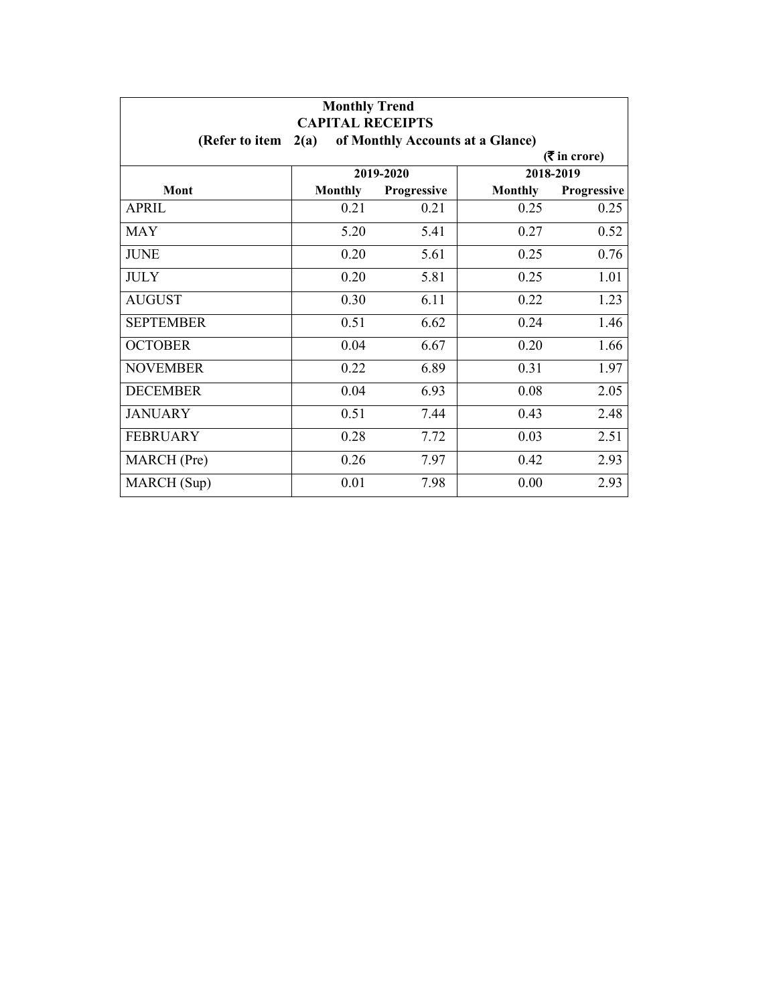| <b>Monthly Trend</b><br><b>CAPITAL RECEIPTS</b> |                |                    |                                  |             |  |
|-------------------------------------------------|----------------|--------------------|----------------------------------|-------------|--|
| (Refer to item                                  | 2(a)           |                    | of Monthly Accounts at a Glance) |             |  |
| $($ ₹ in crore)                                 |                |                    |                                  |             |  |
|                                                 |                | 2019-2020          |                                  | 2018-2019   |  |
| <b>Mont</b>                                     | <b>Monthly</b> | <b>Progressive</b> | <b>Monthly</b>                   | Progressive |  |
| APRIL                                           | 0.21           | 0.21               | 0.25                             | 0.25        |  |
| <b>MAY</b>                                      | 5.20           | 5.41               | 0.27                             | 0.52        |  |
| <b>JUNE</b>                                     | 0.20           | 5.61               | 0.25                             | 0.76        |  |
| <b>JULY</b>                                     | 0.20           | 5.81               | 0.25                             | 1.01        |  |
| <b>AUGUST</b>                                   | 0.30           | 6.11               | 0.22                             | 1.23        |  |
| <b>SEPTEMBER</b>                                | 0.51           | 6.62               | 0.24                             | 1.46        |  |
| <b>OCTOBER</b>                                  | 0.04           | 6.67               | 0.20                             | 1.66        |  |
| <b>NOVEMBER</b>                                 | 0.22           | 6.89               | 0.31                             | 1.97        |  |
| <b>DECEMBER</b>                                 | 0.04           | 6.93               | 0.08                             | 2.05        |  |
| <b>JANUARY</b>                                  | 0.51           | 7.44               | 0.43                             | 2.48        |  |
| <b>FEBRUARY</b>                                 | 0.28           | 7.72               | 0.03                             | 2.51        |  |
| MARCH (Pre)                                     | 0.26           | 7.97               | 0.42                             | 2.93        |  |
| MARCH (Sup)                                     | 0.01           | 7.98               | 0.00                             | 2.93        |  |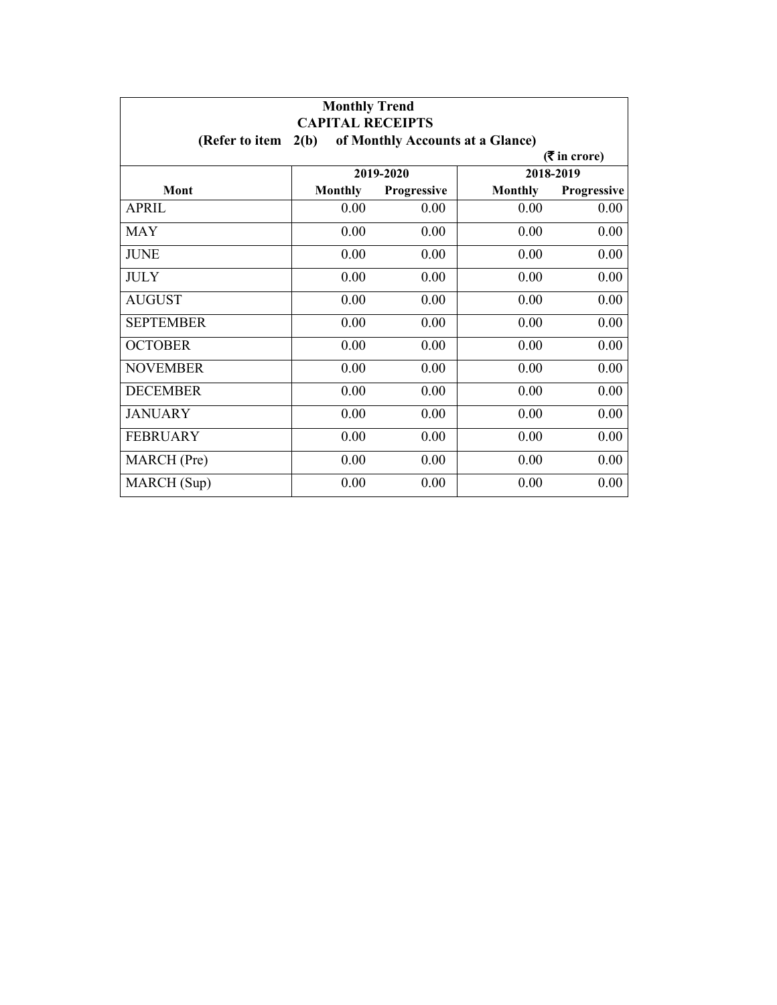| <b>Monthly Trend</b><br><b>CAPITAL RECEIPTS</b> |                |             |                                  |                             |
|-------------------------------------------------|----------------|-------------|----------------------------------|-----------------------------|
| (Refer to item                                  | 2(b)           |             | of Monthly Accounts at a Glance) |                             |
|                                                 |                |             |                                  | $(3\overline{5})$ in crore) |
|                                                 |                | 2019-2020   |                                  | 2018-2019                   |
| Mont                                            | <b>Monthly</b> | Progressive | <b>Monthly</b>                   | Progressive                 |
| APRIL                                           | 0.00           | 0.00        | 0.00                             | 0.00                        |
| <b>MAY</b>                                      | 0.00           | 0.00        | 0.00                             | 0.00                        |
| <b>JUNE</b>                                     | 0.00           | 0.00        | 0.00                             | 0.00                        |
| <b>JULY</b>                                     | 0.00           | 0.00        | 0.00                             | 0.00                        |
| <b>AUGUST</b>                                   | 0.00           | 0.00        | 0.00                             | 0.00                        |
| <b>SEPTEMBER</b>                                | 0.00           | 0.00        | 0.00                             | 0.00                        |
| <b>OCTOBER</b>                                  | 0.00           | 0.00        | 0.00                             | 0.00                        |
| <b>NOVEMBER</b>                                 | 0.00           | 0.00        | 0.00                             | 0.00                        |
| <b>DECEMBER</b>                                 | 0.00           | 0.00        | 0.00                             | 0.00                        |
| <b>JANUARY</b>                                  | 0.00           | 0.00        | 0.00                             | 0.00                        |
| <b>FEBRUARY</b>                                 | 0.00           | 0.00        | 0.00                             | 0.00                        |
| MARCH (Pre)                                     | 0.00           | 0.00        | 0.00                             | 0.00                        |
| MARCH (Sup)                                     | 0.00           | 0.00        | 0.00                             | 0.00                        |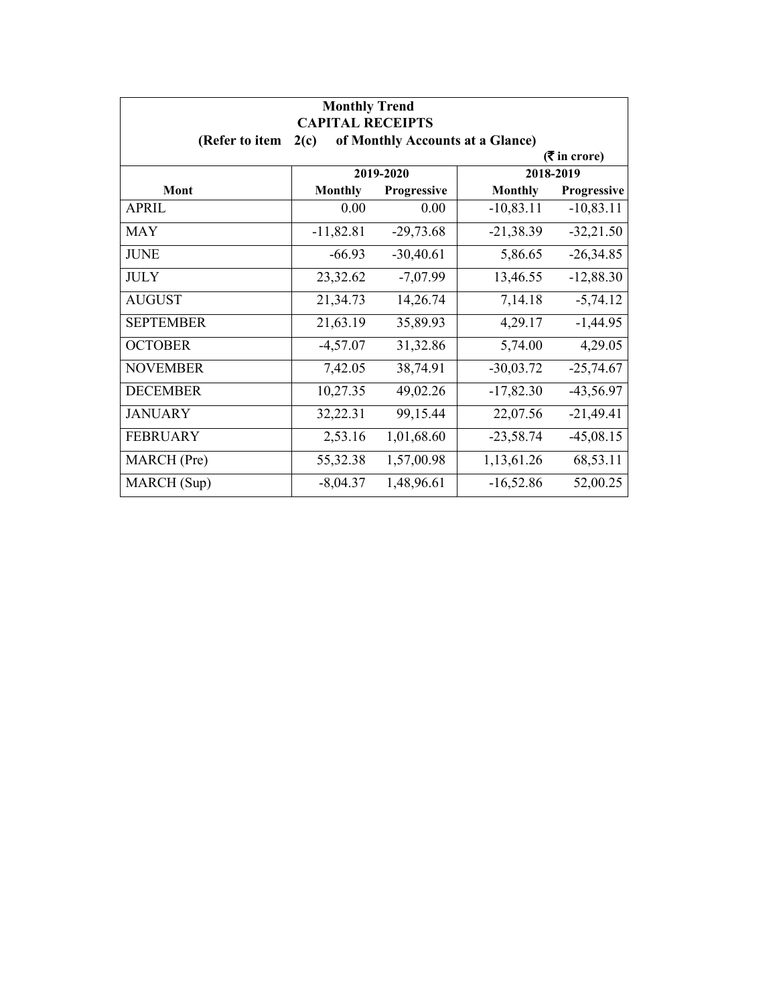| <b>Monthly Trend</b><br><b>CAPITAL RECEIPTS</b> |                                          |             |                |             |  |  |
|-------------------------------------------------|------------------------------------------|-------------|----------------|-------------|--|--|
| (Refer to item                                  | of Monthly Accounts at a Glance)<br>2(c) |             |                |             |  |  |
|                                                 | $($ ₹ in crore)                          |             |                |             |  |  |
|                                                 |                                          | 2019-2020   |                | 2018-2019   |  |  |
| Mont                                            | <b>Monthly</b>                           | Progressive | <b>Monthly</b> | Progressive |  |  |
| APRIL                                           | 0.00                                     | 0.00        | $-10,83.11$    | $-10,83.11$ |  |  |
| <b>MAY</b>                                      | $-11,82.81$                              | $-29,73.68$ | $-21,38.39$    | $-32,21.50$ |  |  |
| <b>JUNE</b>                                     | $-66.93$                                 | $-30,40.61$ | 5,86.65        | $-26,34.85$ |  |  |
| <b>JULY</b>                                     | 23,32.62                                 | $-7,07.99$  | 13,46.55       | $-12,88.30$ |  |  |
| <b>AUGUST</b>                                   | 21,34.73                                 | 14,26.74    | 7,14.18        | $-5,74.12$  |  |  |
| <b>SEPTEMBER</b>                                | 21,63.19                                 | 35,89.93    | 4,29.17        | $-1,44.95$  |  |  |
| <b>OCTOBER</b>                                  | $-4,57.07$                               | 31,32.86    | 5,74.00        | 4,29.05     |  |  |
| <b>NOVEMBER</b>                                 | 7,42.05                                  | 38,74.91    | $-30,03.72$    | $-25,74.67$ |  |  |
| <b>DECEMBER</b>                                 | 10,27.35                                 | 49,02.26    | $-17,82.30$    | $-43,56.97$ |  |  |
| <b>JANUARY</b>                                  | 32,22.31                                 | 99,15.44    | 22,07.56       | $-21,49.41$ |  |  |
| <b>FEBRUARY</b>                                 | 2,53.16                                  | 1,01,68.60  | $-23,58.74$    | $-45,08.15$ |  |  |
| MARCH (Pre)                                     | 55,32.38                                 | 1,57,00.98  | 1,13,61.26     | 68,53.11    |  |  |
| MARCH (Sup)                                     | $-8,04.37$                               | 1,48,96.61  | $-16,52.86$    | 52,00.25    |  |  |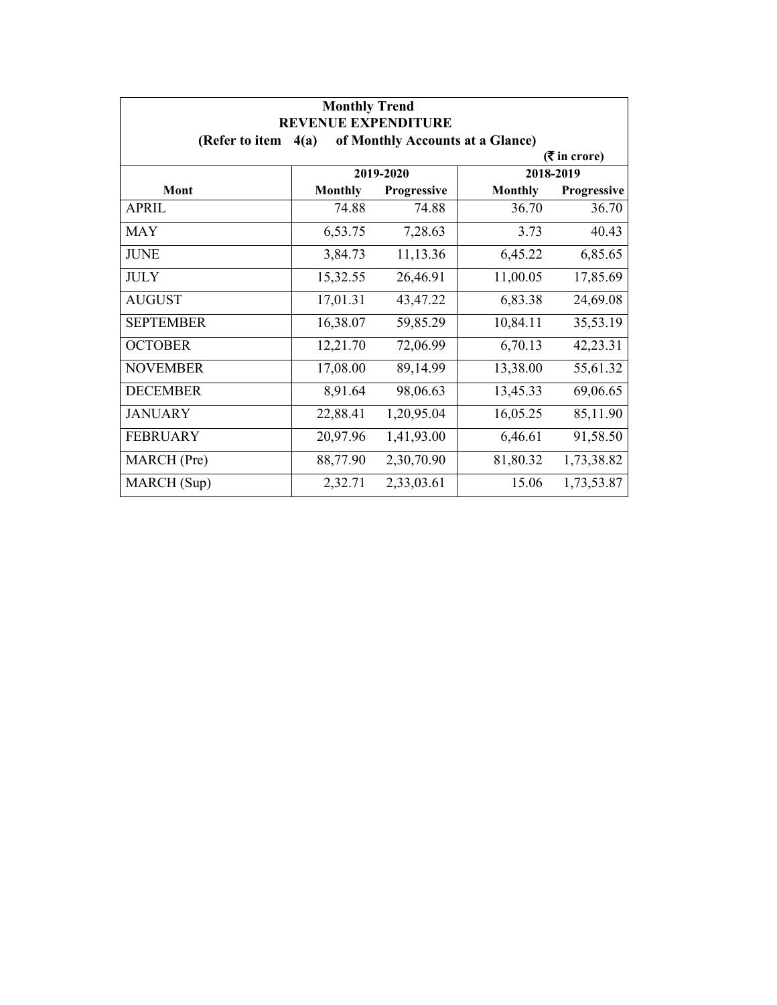| <b>Monthly Trend</b><br><b>REVENUE EXPENDITURE</b> |                |             |                                  |                             |
|----------------------------------------------------|----------------|-------------|----------------------------------|-----------------------------|
| (Refer to item                                     | 4(a)           |             | of Monthly Accounts at a Glance) |                             |
|                                                    |                |             |                                  | $(3\overline{5})$ in crore) |
|                                                    |                | 2019-2020   |                                  | 2018-2019                   |
| <b>Mont</b>                                        | <b>Monthly</b> | Progressive | <b>Monthly</b>                   | Progressive                 |
| APRIL                                              | 74.88          | 74.88       | 36.70                            | 36.70                       |
| <b>MAY</b>                                         | 6,53.75        | 7,28.63     | 3.73                             | 40.43                       |
| <b>JUNE</b>                                        | 3,84.73        | 11,13.36    | 6,45.22                          | 6,85.65                     |
| <b>JULY</b>                                        | 15,32.55       | 26,46.91    | 11,00.05                         | 17,85.69                    |
| <b>AUGUST</b>                                      | 17,01.31       | 43,47.22    | 6,83.38                          | 24,69.08                    |
| <b>SEPTEMBER</b>                                   | 16,38.07       | 59,85.29    | 10,84.11                         | 35,53.19                    |
| <b>OCTOBER</b>                                     | 12,21.70       | 72,06.99    | 6,70.13                          | 42,23.31                    |
| <b>NOVEMBER</b>                                    | 17,08.00       | 89,14.99    | 13,38.00                         | 55,61.32                    |
| <b>DECEMBER</b>                                    | 8,91.64        | 98,06.63    | 13,45.33                         | 69,06.65                    |
| <b>JANUARY</b>                                     | 22,88.41       | 1,20,95.04  | 16,05.25                         | 85,11.90                    |
| <b>FEBRUARY</b>                                    | 20,97.96       | 1,41,93.00  | 6,46.61                          | 91,58.50                    |
| MARCH (Pre)                                        | 88,77.90       | 2,30,70.90  | 81,80.32                         | 1,73,38.82                  |
| MARCH (Sup)                                        | 2,32.71        | 2,33,03.61  | 15.06                            | 1,73,53.87                  |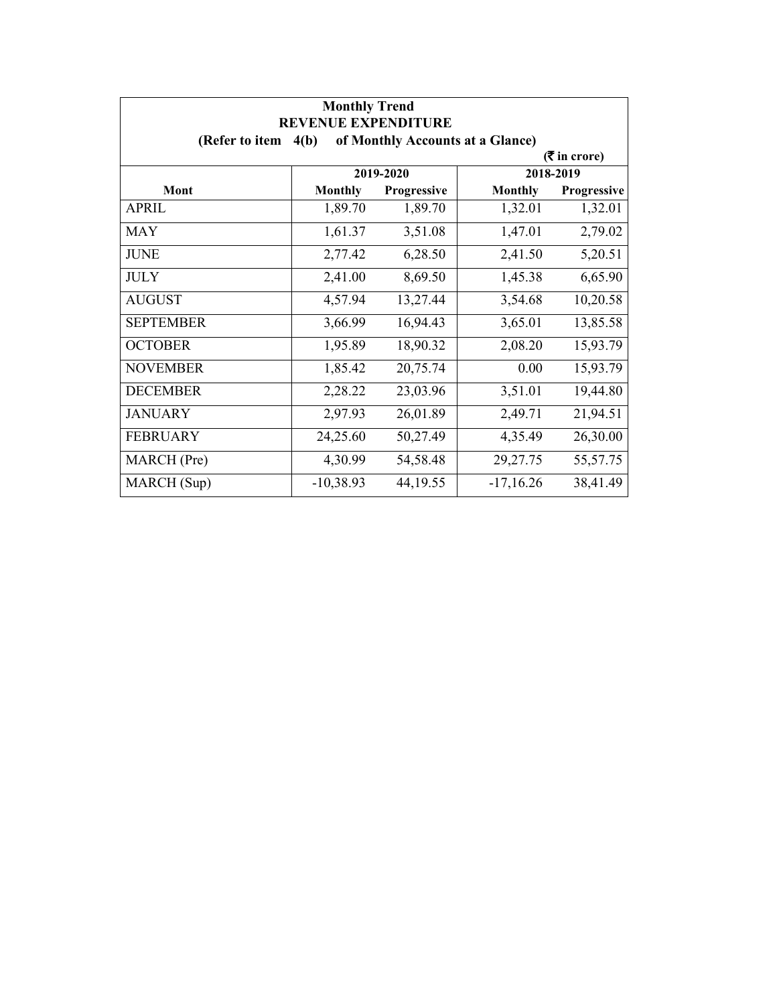| <b>Monthly Trend</b><br><b>REVENUE EXPENDITURE</b> |                |             |                                  |                 |
|----------------------------------------------------|----------------|-------------|----------------------------------|-----------------|
| (Refer to item $4(b)$                              |                |             | of Monthly Accounts at a Glance) |                 |
|                                                    |                |             |                                  | $($ ₹ in crore) |
|                                                    |                | 2019-2020   |                                  | 2018-2019       |
| Mont                                               | <b>Monthly</b> | Progressive | <b>Monthly</b>                   | Progressive     |
| <b>APRIL</b>                                       | 1,89.70        | 1,89.70     | 1,32.01                          | 1,32.01         |
| <b>MAY</b>                                         | 1,61.37        | 3,51.08     | 1,47.01                          | 2,79.02         |
| <b>JUNE</b>                                        | 2,77.42        | 6,28.50     | 2,41.50                          | 5,20.51         |
| <b>JULY</b>                                        | 2,41.00        | 8,69.50     | 1,45.38                          | 6,65.90         |
| <b>AUGUST</b>                                      | 4,57.94        | 13,27.44    | 3,54.68                          | 10,20.58        |
| <b>SEPTEMBER</b>                                   | 3,66.99        | 16,94.43    | 3,65.01                          | 13,85.58        |
| <b>OCTOBER</b>                                     | 1,95.89        | 18,90.32    | 2,08.20                          | 15,93.79        |
| <b>NOVEMBER</b>                                    | 1,85.42        | 20,75.74    | 0.00                             | 15,93.79        |
| <b>DECEMBER</b>                                    | 2,28.22        | 23,03.96    | 3,51.01                          | 19,44.80        |
| <b>JANUARY</b>                                     | 2,97.93        | 26,01.89    | 2,49.71                          | 21,94.51        |
| <b>FEBRUARY</b>                                    | 24,25.60       | 50,27.49    | 4,35.49                          | 26,30.00        |
| MARCH (Pre)                                        | 4,30.99        | 54,58.48    | 29,27.75                         | 55,57.75        |
| MARCH (Sup)                                        | $-10,38.93$    | 44,19.55    | $-17,16.26$                      | 38,41.49        |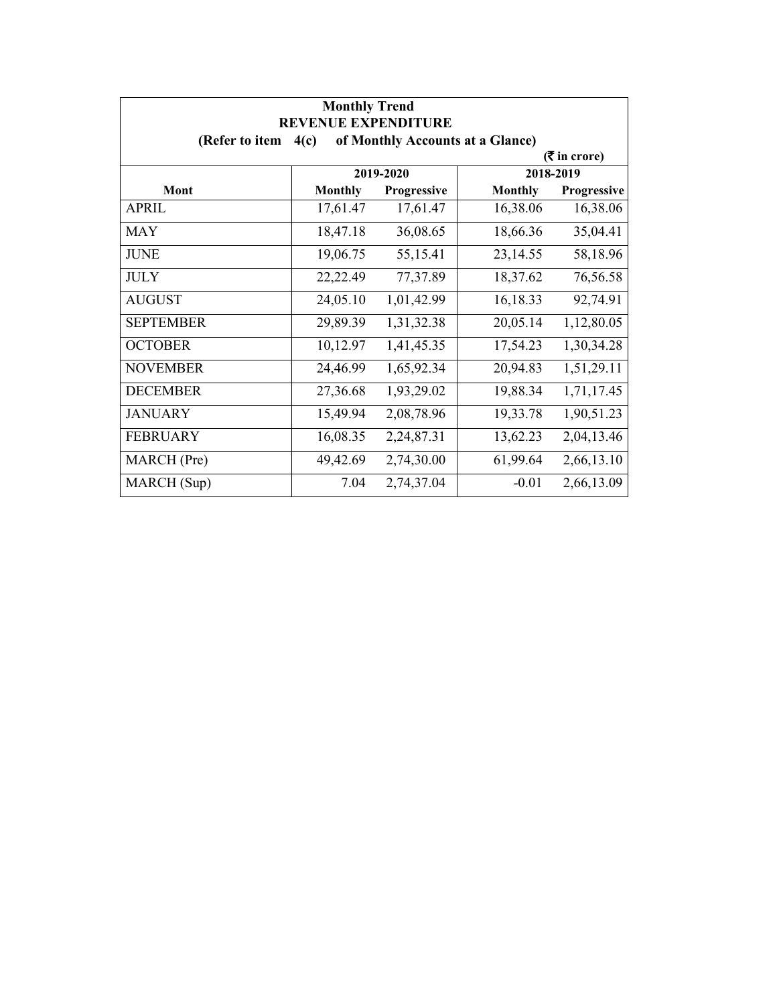| <b>Monthly Trend</b><br><b>REVENUE EXPENDITURE</b> |                |             |                                  |                 |
|----------------------------------------------------|----------------|-------------|----------------------------------|-----------------|
| (Refer to item                                     | 4(c)           |             | of Monthly Accounts at a Glance) |                 |
|                                                    |                |             |                                  | $($ ₹ in crore) |
|                                                    |                | 2019-2020   |                                  | 2018-2019       |
| <b>Mont</b>                                        | <b>Monthly</b> | Progressive | <b>Monthly</b>                   | Progressive     |
| <b>APRIL</b>                                       | 17,61.47       | 17,61.47    | 16,38.06                         | 16,38.06        |
| <b>MAY</b>                                         | 18,47.18       | 36,08.65    | 18,66.36                         | 35,04.41        |
| <b>JUNE</b>                                        | 19,06.75       | 55,15.41    | 23,14.55                         | 58,18.96        |
| <b>JULY</b>                                        | 22,22.49       | 77,37.89    | 18,37.62                         | 76,56.58        |
| <b>AUGUST</b>                                      | 24,05.10       | 1,01,42.99  | 16,18.33                         | 92,74.91        |
| <b>SEPTEMBER</b>                                   | 29,89.39       | 1,31,32.38  | 20,05.14                         | 1,12,80.05      |
| <b>OCTOBER</b>                                     | 10,12.97       | 1,41,45.35  | 17,54.23                         | 1,30,34.28      |
| <b>NOVEMBER</b>                                    | 24,46.99       | 1,65,92.34  | 20,94.83                         | 1,51,29.11      |
| <b>DECEMBER</b>                                    | 27,36.68       | 1,93,29.02  | 19,88.34                         | 1,71,17.45      |
| <b>JANUARY</b>                                     | 15,49.94       | 2,08,78.96  | 19,33.78                         | 1,90,51.23      |
| <b>FEBRUARY</b>                                    | 16,08.35       | 2,24,87.31  | 13,62.23                         | 2,04,13.46      |
| MARCH (Pre)                                        | 49,42.69       | 2,74,30.00  | 61,99.64                         | 2,66,13.10      |
| MARCH (Sup)                                        | 7.04           | 2,74,37.04  | $-0.01$                          | 2,66,13.09      |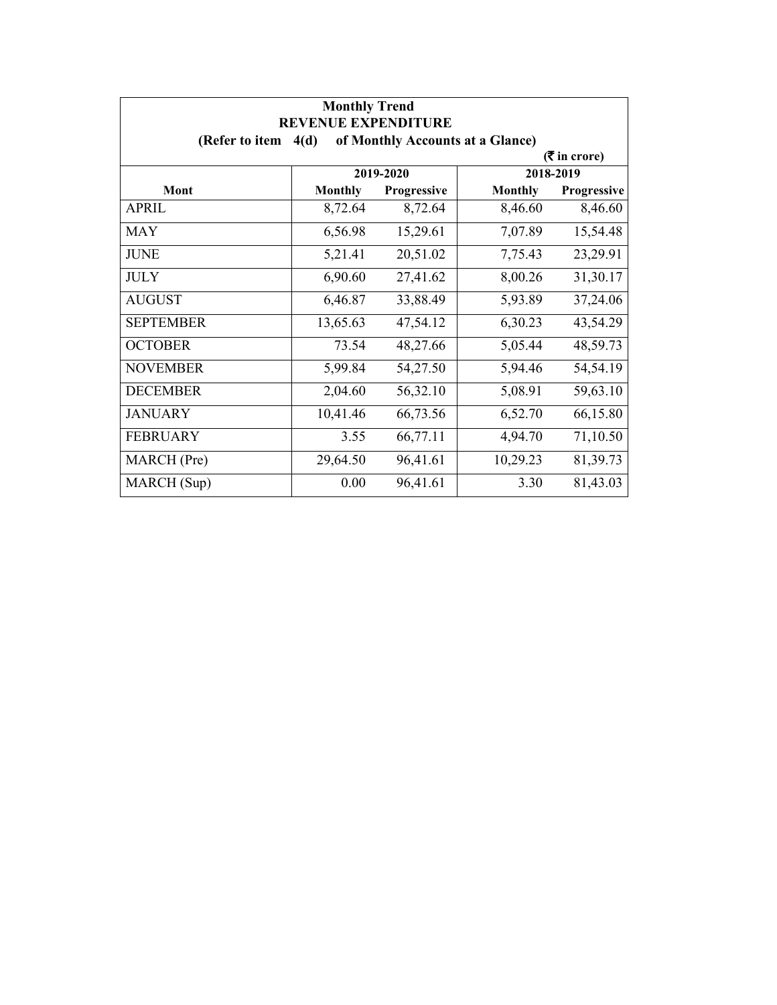| <b>Monthly Trend</b><br><b>REVENUE EXPENDITURE</b> |                |             |                                  |                             |
|----------------------------------------------------|----------------|-------------|----------------------------------|-----------------------------|
| (Refer to item $4(d)$                              |                |             | of Monthly Accounts at a Glance) |                             |
|                                                    |                |             |                                  | $(3\overline{5})$ in crore) |
|                                                    |                | 2019-2020   |                                  | 2018-2019                   |
| Mont                                               | <b>Monthly</b> | Progressive | <b>Monthly</b>                   | Progressive                 |
| APRIL                                              | 8,72.64        | 8,72.64     | 8,46.60                          | 8,46.60                     |
| <b>MAY</b>                                         | 6,56.98        | 15,29.61    | 7,07.89                          | 15,54.48                    |
| <b>JUNE</b>                                        | 5,21.41        | 20,51.02    | 7,75.43                          | 23,29.91                    |
| <b>JULY</b>                                        | 6,90.60        | 27,41.62    | 8,00.26                          | 31,30.17                    |
| <b>AUGUST</b>                                      | 6,46.87        | 33,88.49    | 5,93.89                          | 37,24.06                    |
| <b>SEPTEMBER</b>                                   | 13,65.63       | 47,54.12    | 6,30.23                          | 43,54.29                    |
| <b>OCTOBER</b>                                     | 73.54          | 48,27.66    | 5,05.44                          | 48,59.73                    |
| <b>NOVEMBER</b>                                    | 5,99.84        | 54,27.50    | 5,94.46                          | 54,54.19                    |
| <b>DECEMBER</b>                                    | 2,04.60        | 56,32.10    | 5,08.91                          | 59,63.10                    |
| <b>JANUARY</b>                                     | 10,41.46       | 66,73.56    | 6,52.70                          | 66,15.80                    |
| <b>FEBRUARY</b>                                    | 3.55           | 66,77.11    | 4,94.70                          | 71,10.50                    |
| MARCH (Pre)                                        | 29,64.50       | 96,41.61    | 10,29.23                         | 81,39.73                    |
| MARCH (Sup)                                        | 0.00           | 96,41.61    | 3.30                             | 81,43.03                    |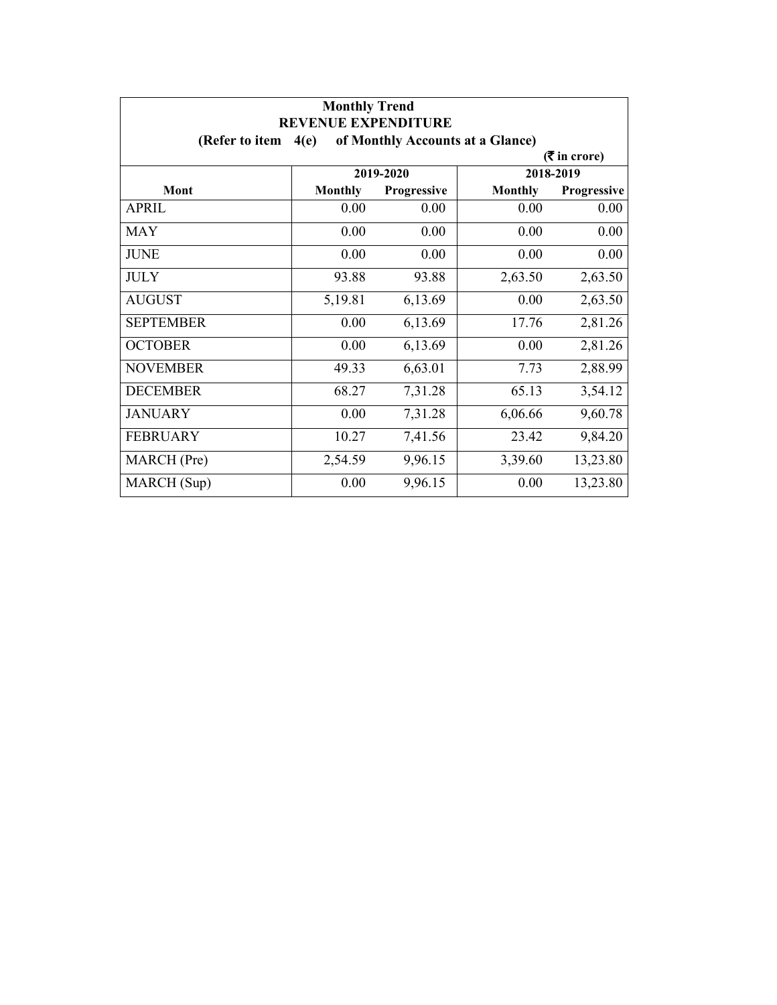| <b>Monthly Trend</b> |                                                                        |                    |                |                    |  |
|----------------------|------------------------------------------------------------------------|--------------------|----------------|--------------------|--|
| (Refer to item       | <b>REVENUE EXPENDITURE</b><br>of Monthly Accounts at a Glance)<br>4(e) |                    |                |                    |  |
|                      |                                                                        |                    |                | $($ ₹ in crore)    |  |
|                      |                                                                        | 2019-2020          |                | 2018-2019          |  |
| Mont                 | <b>Monthly</b>                                                         | <b>Progressive</b> | <b>Monthly</b> | <b>Progressive</b> |  |
| <b>APRIL</b>         | 0.00                                                                   | 0.00               | 0.00           | 0.00               |  |
| <b>MAY</b>           | 0.00                                                                   | 0.00               | 0.00           | 0.00               |  |
| <b>JUNE</b>          | 0.00                                                                   | 0.00               | 0.00           | 0.00               |  |
| <b>JULY</b>          | 93.88                                                                  | 93.88              | 2,63.50        | 2,63.50            |  |
| <b>AUGUST</b>        | 5,19.81                                                                | 6,13.69            | 0.00           | 2,63.50            |  |
| <b>SEPTEMBER</b>     | 0.00                                                                   | 6,13.69            | 17.76          | 2,81.26            |  |
| <b>OCTOBER</b>       | 0.00                                                                   | 6,13.69            | 0.00           | 2,81.26            |  |
| <b>NOVEMBER</b>      | 49.33                                                                  | 6,63.01            | 7.73           | 2,88.99            |  |
| <b>DECEMBER</b>      | 68.27                                                                  | 7,31.28            | 65.13          | 3,54.12            |  |
| <b>JANUARY</b>       | 0.00                                                                   | 7,31.28            | 6,06.66        | 9,60.78            |  |
| <b>FEBRUARY</b>      | 10.27                                                                  | 7,41.56            | 23.42          | 9,84.20            |  |
| MARCH (Pre)          | 2,54.59                                                                | 9,96.15            | 3,39.60        | 13,23.80           |  |
| MARCH (Sup)          | 0.00                                                                   | 9,96.15            | 0.00           | 13,23.80           |  |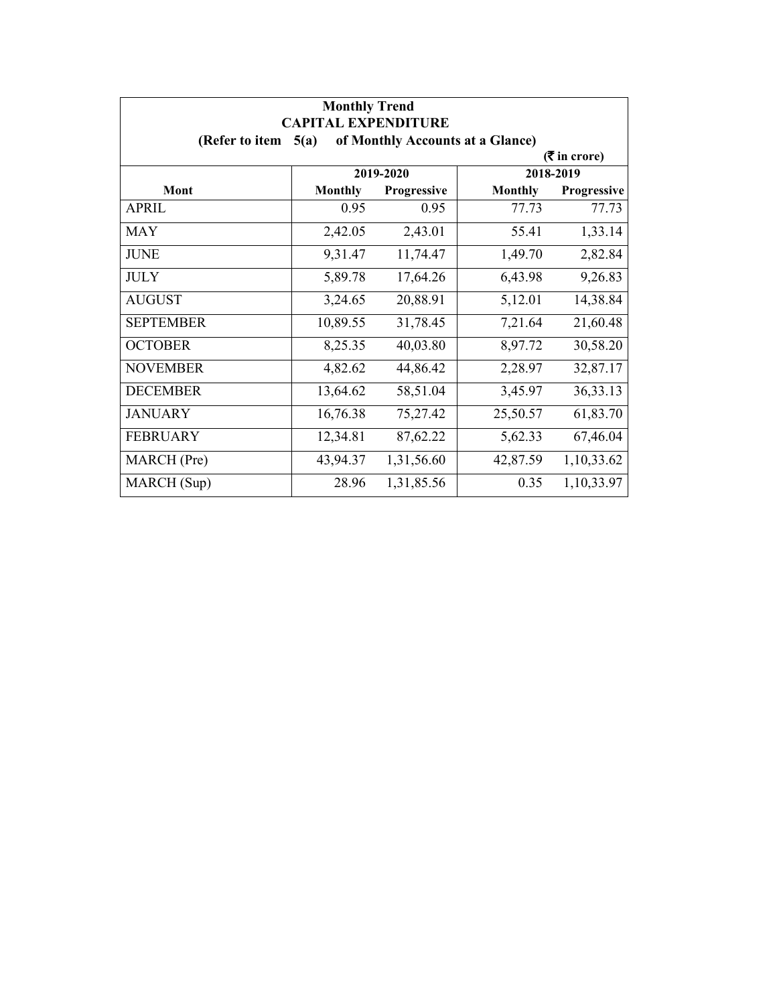| <b>Monthly Trend</b><br><b>CAPITAL EXPENDITURE</b><br>of Monthly Accounts at a Glance)<br>(Refer to item<br>5(a) |                |             |                |             |  |  |  |
|------------------------------------------------------------------------------------------------------------------|----------------|-------------|----------------|-------------|--|--|--|
|                                                                                                                  |                |             |                |             |  |  |  |
|                                                                                                                  | 2019-2020      |             | 2018-2019      |             |  |  |  |
| Mont                                                                                                             | <b>Monthly</b> | Progressive | <b>Monthly</b> | Progressive |  |  |  |
| APRIL                                                                                                            | 0.95           | 0.95        | 77.73          | 77.73       |  |  |  |
| <b>MAY</b>                                                                                                       | 2,42.05        | 2,43.01     | 55.41          | 1,33.14     |  |  |  |
| <b>JUNE</b>                                                                                                      | 9,31.47        | 11,74.47    | 1,49.70        | 2,82.84     |  |  |  |
| <b>JULY</b>                                                                                                      | 5,89.78        | 17,64.26    | 6,43.98        | 9,26.83     |  |  |  |
| <b>AUGUST</b>                                                                                                    | 3,24.65        | 20,88.91    | 5,12.01        | 14,38.84    |  |  |  |
| <b>SEPTEMBER</b>                                                                                                 | 10,89.55       | 31,78.45    | 7,21.64        | 21,60.48    |  |  |  |
| <b>OCTOBER</b>                                                                                                   | 8,25.35        | 40,03.80    | 8,97.72        | 30,58.20    |  |  |  |
| <b>NOVEMBER</b>                                                                                                  | 4,82.62        | 44,86.42    | 2,28.97        | 32,87.17    |  |  |  |
| <b>DECEMBER</b>                                                                                                  | 13,64.62       | 58,51.04    | 3,45.97        | 36, 33. 13  |  |  |  |
| <b>JANUARY</b>                                                                                                   | 16,76.38       | 75,27.42    | 25,50.57       | 61,83.70    |  |  |  |
| <b>FEBRUARY</b>                                                                                                  | 12,34.81       | 87,62.22    | 5,62.33        | 67,46.04    |  |  |  |
| MARCH (Pre)                                                                                                      | 43,94.37       | 1,31,56.60  | 42,87.59       | 1,10,33.62  |  |  |  |
| MARCH (Sup)                                                                                                      | 28.96          | 1,31,85.56  | 0.35           | 1,10,33.97  |  |  |  |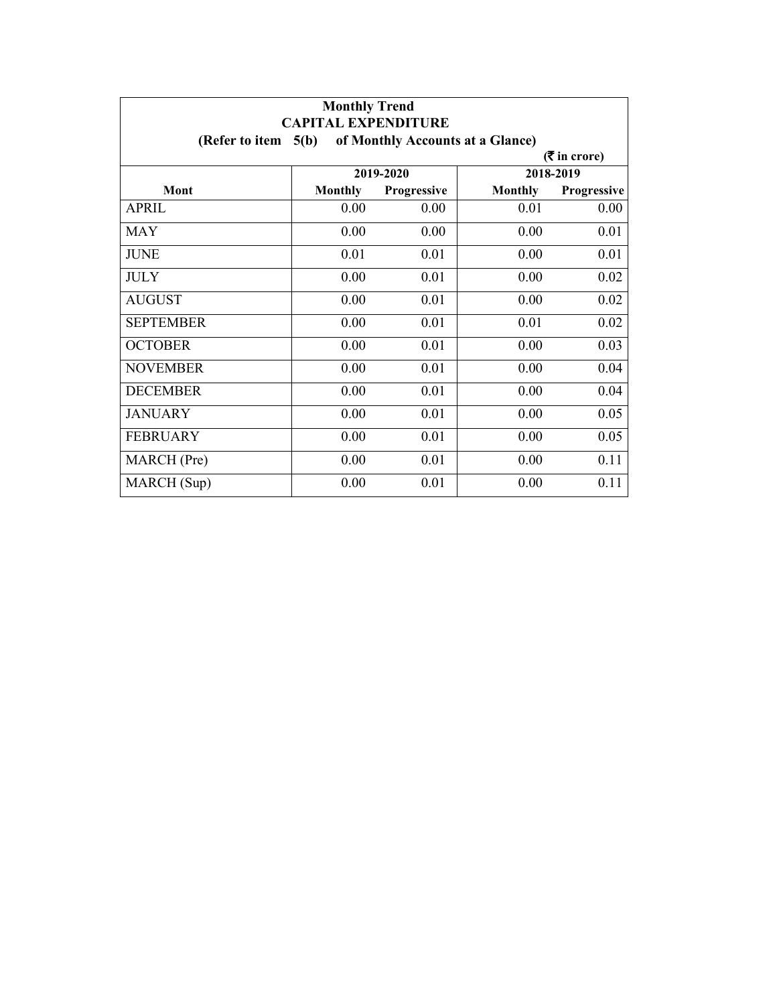| <b>Monthly Trend</b><br><b>CAPITAL EXPENDITURE</b>          |                |                    |                |                    |  |  |  |
|-------------------------------------------------------------|----------------|--------------------|----------------|--------------------|--|--|--|
| of Monthly Accounts at a Glance)<br>(Refer to item $5(b)$ ) |                |                    |                |                    |  |  |  |
| $($ ₹ in crore)                                             |                |                    |                |                    |  |  |  |
|                                                             | 2019-2020      |                    | 2018-2019      |                    |  |  |  |
| Mont                                                        | <b>Monthly</b> | <b>Progressive</b> | <b>Monthly</b> | <b>Progressive</b> |  |  |  |
| <b>APRIL</b>                                                | 0.00           | 0.00               | 0.01           | 0.00               |  |  |  |
| MAY                                                         | 0.00           | 0.00               | 0.00           | 0.01               |  |  |  |
| <b>JUNE</b>                                                 | 0.01           | 0.01               | 0.00           | 0.01               |  |  |  |
| <b>JULY</b>                                                 | 0.00           | 0.01               | 0.00           | 0.02               |  |  |  |
| <b>AUGUST</b>                                               | 0.00           | 0.01               | 0.00           | 0.02               |  |  |  |
| <b>SEPTEMBER</b>                                            | 0.00           | 0.01               | 0.01           | 0.02               |  |  |  |
| <b>OCTOBER</b>                                              | 0.00           | 0.01               | 0.00           | 0.03               |  |  |  |
| <b>NOVEMBER</b>                                             | 0.00           | 0.01               | 0.00           | 0.04               |  |  |  |
| <b>DECEMBER</b>                                             | 0.00           | 0.01               | 0.00           | 0.04               |  |  |  |
| <b>JANUARY</b>                                              | 0.00           | 0.01               | 0.00           | 0.05               |  |  |  |
| <b>FEBRUARY</b>                                             | 0.00           | 0.01               | 0.00           | 0.05               |  |  |  |
| MARCH (Pre)                                                 | 0.00           | 0.01               | 0.00           | 0.11               |  |  |  |
| MARCH (Sup)                                                 | 0.00           | 0.01               | 0.00           | 0.11               |  |  |  |